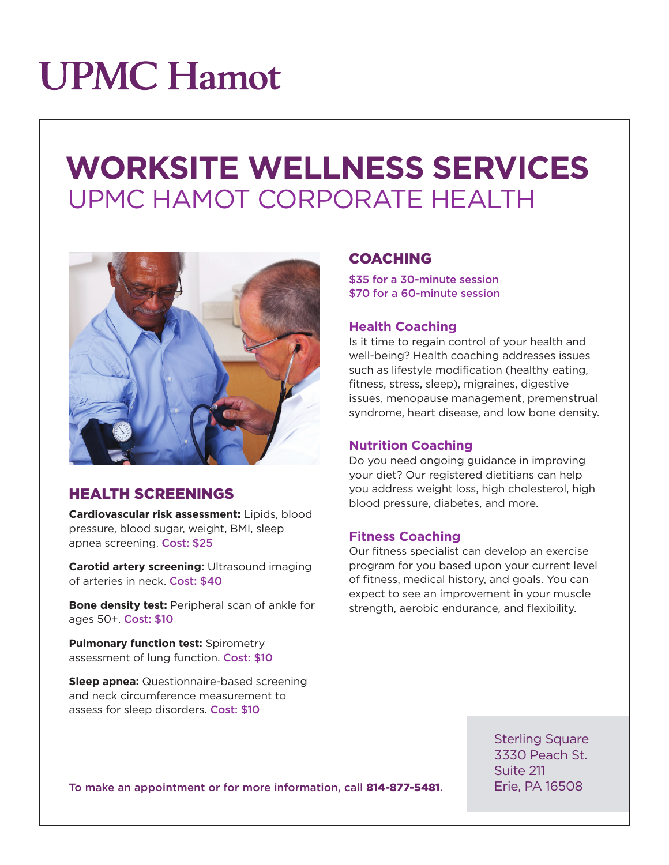# **UPMC Hamot**

# **WORKSITE WELLNESS SERVICES** UPMC HAMOT CORPORATE HEALTH



### HEALTH SCREENINGS

**Cardiovascular risk assessment:** Lipids, blood pressure, blood sugar, weight, BMI, sleep apnea screening. Cost: \$25

**Carotid artery screening:** Ultrasound imaging of arteries in neck. Cost: \$40

**Bone density test:** Peripheral scan of ankle for ages 50+. Cost: \$10

**Pulmonary function test: Spirometry** assessment of lung function. Cost: \$10

**Sleep apnea:** Questionnaire-based screening and neck circumference measurement to assess for sleep disorders. Cost: \$10

### COACHING

\$35 for a 30-minute session \$70 for a 60-minute session

### **Health Coaching**

Is it time to regain control of your health and well-being? Health coaching addresses issues such as lifestyle modification (healthy eating, fitness, stress, sleep), migraines, digestive issues, menopause management, premenstrual syndrome, heart disease, and low bone density.

### **Nutrition Coaching**

Do you need ongoing guidance in improving your diet? Our registered dietitians can help you address weight loss, high cholesterol, high blood pressure, diabetes, and more.

### **Fitness Coaching**

Our fitness specialist can develop an exercise program for you based upon your current level of fitness, medical history, and goals. You can expect to see an improvement in your muscle strength, aerobic endurance, and flexibility.

> Sterling Square 3330 Peach St. Suite 211 Erie, PA 16508

To make an appointment or for more information, call 814-877-5481.